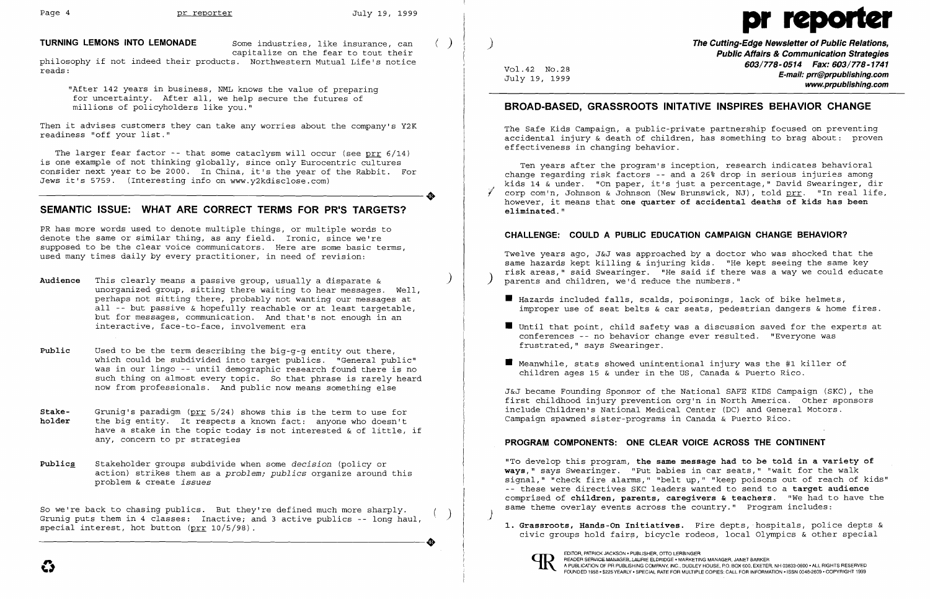

### **TURNING LEMONS INTO LEMONADE** Some industries, like insurance, can ( )

capitalize on the fear to tout their

philosophy if not indeed their products. Northwestern Mutual Life's notice reads:

"After 142 years in business, NML knows the value of preparing for uncertainty. After all, we help secure the futures of millions of policyholders like you."

Then it advises customers they can take any worries about the company's Y2K readiness "off your list."

The larger fear factor -- that some cataclysm will occur (see prr 6/14) is one example of not thinking globally, since only Eurocentric cultures consider next year to be 2000. In China, it's the year of the Rabbit. For<br>Jews it's 5759. (Interesting info on www.y2kdisclose.com)<br>CEMANTIC ISSUE. WUAT ARE CORRECT TERMS FOR RRIS TARCETS? Jews it's 5759. (Interesting info on www.y2kdisclose.com)

# SEMANTIC ISSUE: WHAT ARE CORRECT TERMS FOR PR'S TARGETS?

PR has more words used to denote multiple things, or multiple words to denote the same or similar thing, as any field. Ironic, since we're supposed to be the clear voice communicators. Here are some basic terms, used many times daily by every practitioner, in need of revision:

- **Audience** This clearly means a passive group, usually a disparate & unorganized group, sitting there waiting to hear messages. Well, perhaps not sitting there, probably not wanting our messages at all -- but passive & hopefully reachable or at least targetable, but for messages, communication. And that's not enough in an interactive, face-to-face, involvement era
- Public Used to be the term describing the big-g-g entity out there, which could be subdivided into target publics. "General public" was in our lingo -- until demographic research found there is no such thing on almost every topic. So that phrase is rarely heard now from professionals. And pUblic now means something else
- **Stake-** Grunig's paradigm (prr 5/24) shows this is the term to use for holder the big entity. It respects a known fact: anyone who doesn't the big entity. It respects a known fact: anyone who doesn't have a stake in the topic today is not interested & of little, if any, concern to pr strategies
- Publics Stakeholder groups subdivide when some *decision* (policy or action) strikes them as a *problem; publics* organize around this problem & create *issues*

So we're back to chasing pUblics. But they're defined much more sharply. ) Grunig puts them in 4 classes: Inactive; and 3 active publics -- long haul, special interest, hot button (prr 10/5/98). Grunig puts them in 4 classes: Inactive; and 3 active publics -- long haul,<br>special interest, hot button ( $\frac{\text{prr}}{\text{prr}}$  10/5/98).

Twelve years ago, J&J was approached by a doctor who was shocked that the same hazards kept killing & injuring kids. "He kept seeing the same key risk areas," said Swearinger. "He said if there was a way we could educate parents and children, we'd reduce the numbers."

- $\blacksquare$  Hazards included falls, scalds, poisonings, lack of bike helmets,
- conferences -- no behavior change ever resulted. "Everyone was frustrated," says Swearinger.
- $\blacksquare$  Meanwhile, stats showed unintentional injury was the #1 killer of children ages 15 & under in the US, Canada & Puerto Rico.

**1. Grassroots, Hands-On Initiatives.** Fire depts, hospitals, police depts & civic groups hold fairs, bicycle rodeos, local Olympics & other special

) **The Cutting-Edge Newsletter of Public Relations, Public Affairs & Communication Strategies 603/778-0514 Fax: 603/778-1741** Vol.42 NO.28 **E-mail: prr@prpublishing.com** July 19, 1999 **www.prpublishing.com** 

## **BROAD-BASED, GRASSROOTS INITATIVE INSPIRES BEHAVIOR CHANGE**

The Safe Kids Campaign, a public-private partnership focused on preventing accidental injury & death of children, has something to brag about: proven effectiveness in changing behavior.

Ten years after the program's inception, research indicates behavioral change regarding risk factors -- and a 26% drop in serious injuries among kids 14 & under. "On paper, it's just a percentage," David Swearinger, dir corp com'n, Johnson & Johnson (New Brunswick, NJ), told prr. "In real life, however, it means that **one quarter of accidental deaths of kids has been eliminated."** 

### **CHALLENGE: COULD A PUBLIC EDUCATION CAMPAIGN CHANGE BEHAVIOR?**

improper use of seat belts & car seats, pedestrian dangers & home fires.

 $\blacksquare$  Until that point, child safety was a discussion saved for the experts at

J&J became Founding Sponsor of the National SAFE KIDS Campaign (SKC), the first childhood injury prevention org'n in North America. Other sponsors include Children's National Medical Center (DC) and General Motors. Campaign spawned sister-programs in Canada & Puerto Rico.

### **PROGRAM COMPONENTS: ONE CLEAR VOICE ACROSS THE CONTINENT**

"To develop this program, **the same message had to be told in a variety of ways,"** says Swearinger. "Put babies in car seats," "wait for the walk signal," "check fire alarms," "belt up," "keep poisons out of reach of kids" -- these were directives SKC leaders wanted to send to a **target audience**  comprised of **children, parents, caregivers & teachers.** "We had to have the same theme overlay events across the country." Program includes:



)